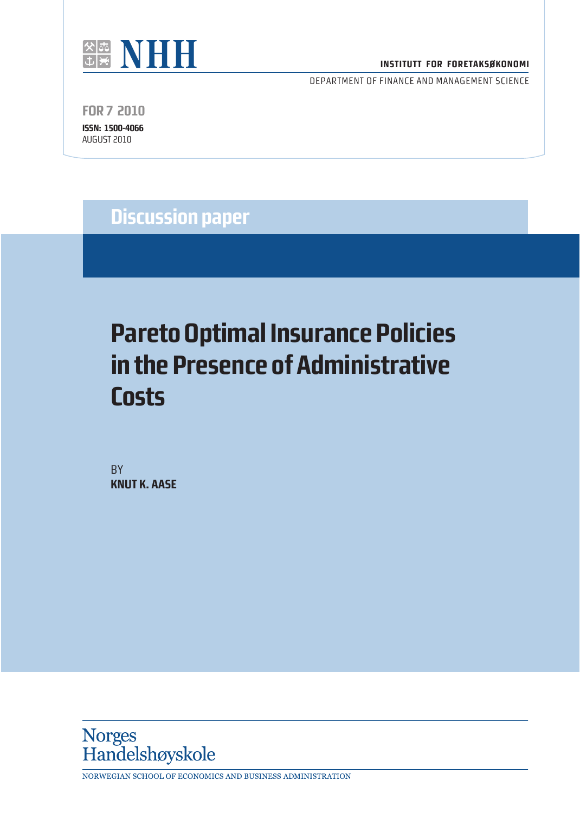

#### **INSTITUTT FOR FORETAKSØKONOMI**

DEPARTMENT OF FINANCE AND MANAGEMENT SCIENCE

**FOR 7 2010 ISSN: 1500-4066**

AUGUST 2010

**Discussion paper**

# **Pareto Optimal Insurance Policies in the Presence of Administrative Costs**

**BY KNUT K. AASE**



NORWEGIAN SCHOOL OF ECONOMICS AND BUSINESS ADMINISTRATION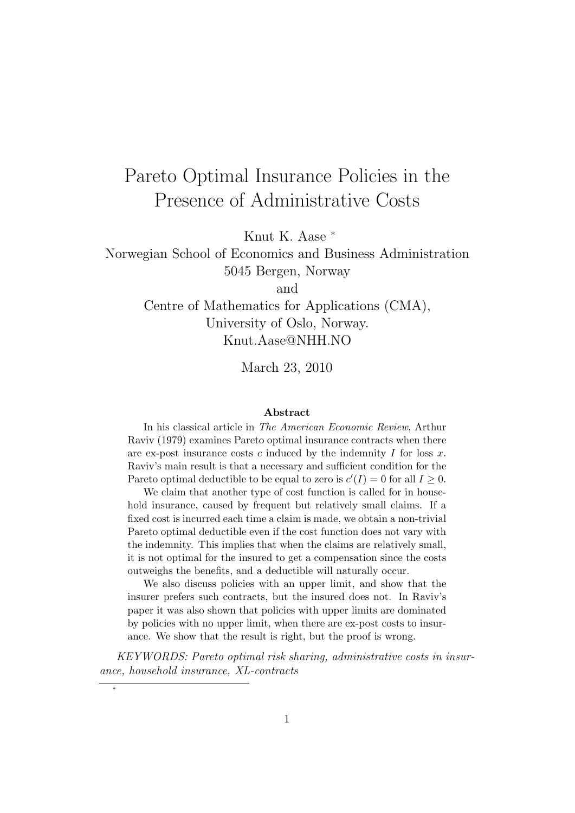## Pareto Optimal Insurance Policies in the Presence of Administrative Costs

Knut K. Aase <sup>∗</sup>

Norwegian School of Economics and Business Administration 5045 Bergen, Norway

and

Centre of Mathematics for Applications (CMA), University of Oslo, Norway. Knut.Aase@NHH.NO

March 23, 2010

#### Abstract

In his classical article in The American Economic Review, Arthur Raviv (1979) examines Pareto optimal insurance contracts when there are ex-post insurance costs  $c$  induced by the indemnity  $I$  for loss  $x$ . Raviv's main result is that a necessary and sufficient condition for the Pareto optimal deductible to be equal to zero is  $c'(I) = 0$  for all  $I \geq 0$ .

We claim that another type of cost function is called for in household insurance, caused by frequent but relatively small claims. If a fixed cost is incurred each time a claim is made, we obtain a non-trivial Pareto optimal deductible even if the cost function does not vary with the indemnity. This implies that when the claims are relatively small, it is not optimal for the insured to get a compensation since the costs outweighs the benefits, and a deductible will naturally occur.

We also discuss policies with an upper limit, and show that the insurer prefers such contracts, but the insured does not. In Raviv's paper it was also shown that policies with upper limits are dominated by policies with no upper limit, when there are ex-post costs to insurance. We show that the result is right, but the proof is wrong.

KEYWORDS: Pareto optimal risk sharing, administrative costs in insurance, household insurance, XL-contracts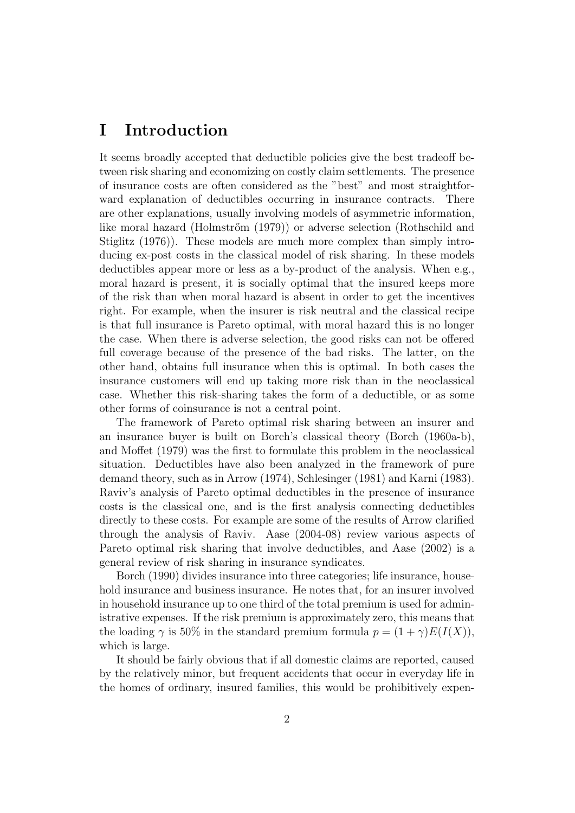### I Introduction

It seems broadly accepted that deductible policies give the best tradeoff between risk sharing and economizing on costly claim settlements. The presence of insurance costs are often considered as the "best" and most straightforward explanation of deductibles occurring in insurance contracts. There are other explanations, usually involving models of asymmetric information, like moral hazard (Holmstrőm (1979)) or adverse selection (Rothschild and Stiglitz (1976)). These models are much more complex than simply introducing ex-post costs in the classical model of risk sharing. In these models deductibles appear more or less as a by-product of the analysis. When e.g., moral hazard is present, it is socially optimal that the insured keeps more of the risk than when moral hazard is absent in order to get the incentives right. For example, when the insurer is risk neutral and the classical recipe is that full insurance is Pareto optimal, with moral hazard this is no longer the case. When there is adverse selection, the good risks can not be offered full coverage because of the presence of the bad risks. The latter, on the other hand, obtains full insurance when this is optimal. In both cases the insurance customers will end up taking more risk than in the neoclassical case. Whether this risk-sharing takes the form of a deductible, or as some other forms of coinsurance is not a central point.

The framework of Pareto optimal risk sharing between an insurer and an insurance buyer is built on Borch's classical theory (Borch (1960a-b), and Moffet (1979) was the first to formulate this problem in the neoclassical situation. Deductibles have also been analyzed in the framework of pure demand theory, such as in Arrow (1974), Schlesinger (1981) and Karni (1983). Raviv's analysis of Pareto optimal deductibles in the presence of insurance costs is the classical one, and is the first analysis connecting deductibles directly to these costs. For example are some of the results of Arrow clarified through the analysis of Raviv. Aase (2004-08) review various aspects of Pareto optimal risk sharing that involve deductibles, and Aase (2002) is a general review of risk sharing in insurance syndicates.

Borch (1990) divides insurance into three categories; life insurance, household insurance and business insurance. He notes that, for an insurer involved in household insurance up to one third of the total premium is used for administrative expenses. If the risk premium is approximately zero, this means that the loading  $\gamma$  is 50% in the standard premium formula  $p = (1 + \gamma)E(I(X)),$ which is large.

It should be fairly obvious that if all domestic claims are reported, caused by the relatively minor, but frequent accidents that occur in everyday life in the homes of ordinary, insured families, this would be prohibitively expen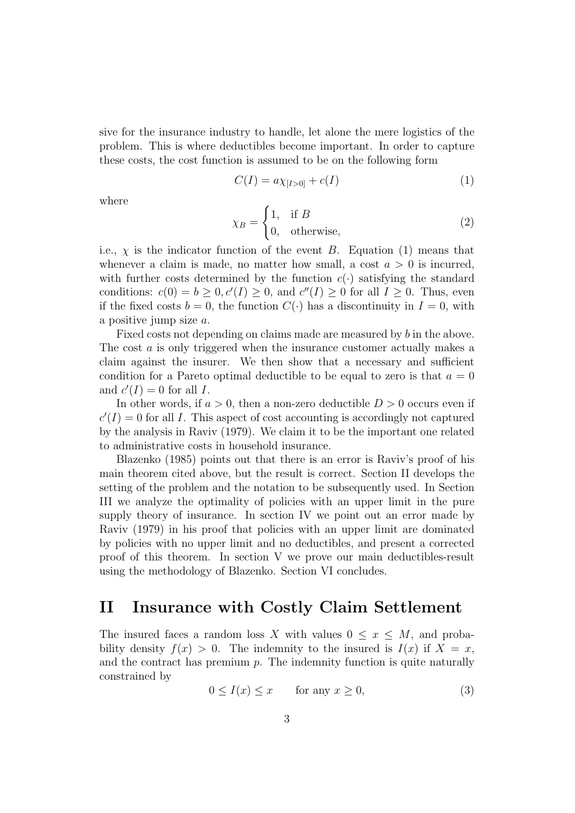sive for the insurance industry to handle, let alone the mere logistics of the problem. This is where deductibles become important. In order to capture these costs, the cost function is assumed to be on the following form

$$
C(I) = a\chi_{[I>0]} + c(I)
$$
 (1)

where

$$
\chi_B = \begin{cases} 1, & \text{if } B \\ 0, & \text{otherwise,} \end{cases}
$$
 (2)

i.e.,  $\chi$  is the indicator function of the event B. Equation (1) means that whenever a claim is made, no matter how small, a cost  $a > 0$  is incurred, with further costs determined by the function  $c(\cdot)$  satisfying the standard conditions:  $c(0) = b \geq 0, c'(I) \geq 0$ , and  $c''(I) \geq 0$  for all  $I \geq 0$ . Thus, even if the fixed costs  $b = 0$ , the function  $C(\cdot)$  has a discontinuity in  $I = 0$ , with a positive jump size a.

Fixed costs not depending on claims made are measured by b in the above. The cost a is only triggered when the insurance customer actually makes a claim against the insurer. We then show that a necessary and sufficient condition for a Pareto optimal deductible to be equal to zero is that  $a = 0$ and  $c'(I) = 0$  for all I.

In other words, if  $a > 0$ , then a non-zero deductible  $D > 0$  occurs even if  $c'(I) = 0$  for all I. This aspect of cost accounting is accordingly not captured by the analysis in Raviv (1979). We claim it to be the important one related to administrative costs in household insurance.

Blazenko (1985) points out that there is an error is Raviv's proof of his main theorem cited above, but the result is correct. Section II develops the setting of the problem and the notation to be subsequently used. In Section III we analyze the optimality of policies with an upper limit in the pure supply theory of insurance. In section IV we point out an error made by Raviv (1979) in his proof that policies with an upper limit are dominated by policies with no upper limit and no deductibles, and present a corrected proof of this theorem. In section V we prove our main deductibles-result using the methodology of Blazenko. Section VI concludes.

#### II Insurance with Costly Claim Settlement

The insured faces a random loss X with values  $0 \leq x \leq M$ , and probability density  $f(x) > 0$ . The indemnity to the insured is  $I(x)$  if  $X = x$ , and the contract has premium  $p$ . The indemnity function is quite naturally constrained by

$$
0 \le I(x) \le x \qquad \text{for any } x \ge 0,
$$
\n<sup>(3)</sup>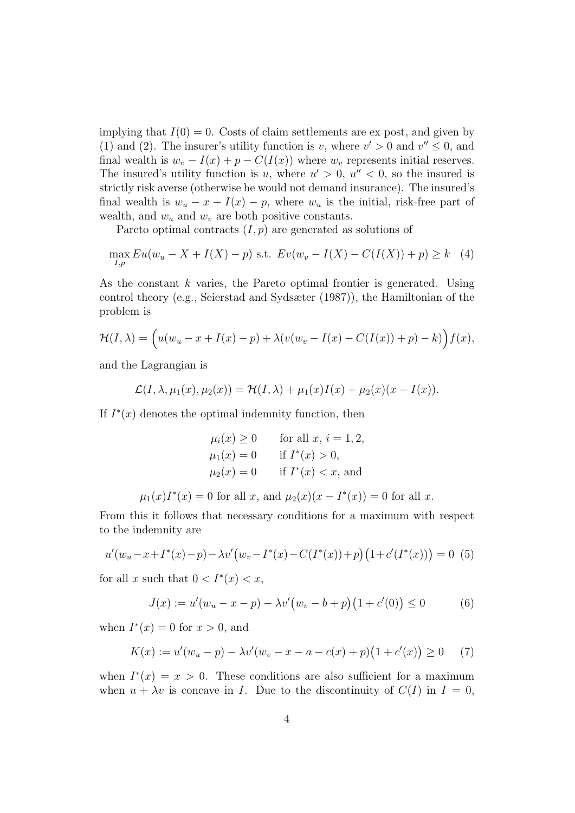implying that  $I(0) = 0$ . Costs of claim settlements are ex post, and given by (1) and (2). The insurer's utility function is v, where  $v' > 0$  and  $v'' \le 0$ , and final wealth is  $w_v - I(x) + p - C(I(x))$  where  $w_v$  represents initial reserves. The insured's utility function is u, where  $u' > 0$ ,  $u'' < 0$ , so the insured is strictly risk averse (otherwise he would not demand insurance). The insured's final wealth is  $w_u - x + I(x) - p$ , where  $w_u$  is the initial, risk-free part of wealth, and  $w_u$  and  $w_v$  are both positive constants.

Pareto optimal contracts  $(I, p)$  are generated as solutions of

$$
\max_{I,p} Eu(w_u - X + I(X) - p) \text{ s.t. } Ev(w_v - I(X) - C(I(X)) + p) \ge k \quad (4)
$$

As the constant  $k$  varies, the Pareto optimal frontier is generated. Using control theory (e.g., Seierstad and Sydsæter (1987)), the Hamiltonian of the problem is

$$
\mathcal{H}(I,\lambda) = \left(u(w_u - x + I(x) - p) + \lambda(v(w_v - I(x) - C(I(x)) + p) - k)\right) f(x),
$$

and the Lagrangian is

$$
\mathcal{L}(I,\lambda,\mu_1(x),\mu_2(x))=\mathcal{H}(I,\lambda)+\mu_1(x)I(x)+\mu_2(x)(x-I(x)).
$$

If  $I^*(x)$  denotes the optimal indemnity function, then

$$
\mu_i(x) \ge 0 \quad \text{for all } x, i = 1, 2,
$$
  
\n
$$
\mu_1(x) = 0 \quad \text{if } I^*(x) > 0,
$$
  
\n
$$
\mu_2(x) = 0 \quad \text{if } I^*(x) < x, \text{ and}
$$

 $\mu_1(x)I^*(x) = 0$  for all x, and  $\mu_2(x)(x - I^*(x)) = 0$  for all x.

From this it follows that necessary conditions for a maximum with respect to the indemnity are

$$
u'(w_u - x + I^*(x) - p) - \lambda v'(w_v - I^*(x) - C(I^*(x)) + p)(1 + c'(I^*(x))) = 0
$$
 (5)

for all x such that  $0 < I^*(x) < x$ ,

$$
J(x) := u'(w_u - x - p) - \lambda v'(w_v - b + p)(1 + c'(0)) \le 0
$$
 (6)

when  $I^*(x) = 0$  for  $x > 0$ , and

$$
K(x) := u'(w_u - p) - \lambda v'(w_v - x - a - c(x) + p)(1 + c'(x)) \ge 0 \quad (7)
$$

when  $I^*(x) = x > 0$ . These conditions are also sufficient for a maximum when  $u + \lambda v$  is concave in I. Due to the discontinuity of  $C(I)$  in  $I = 0$ ,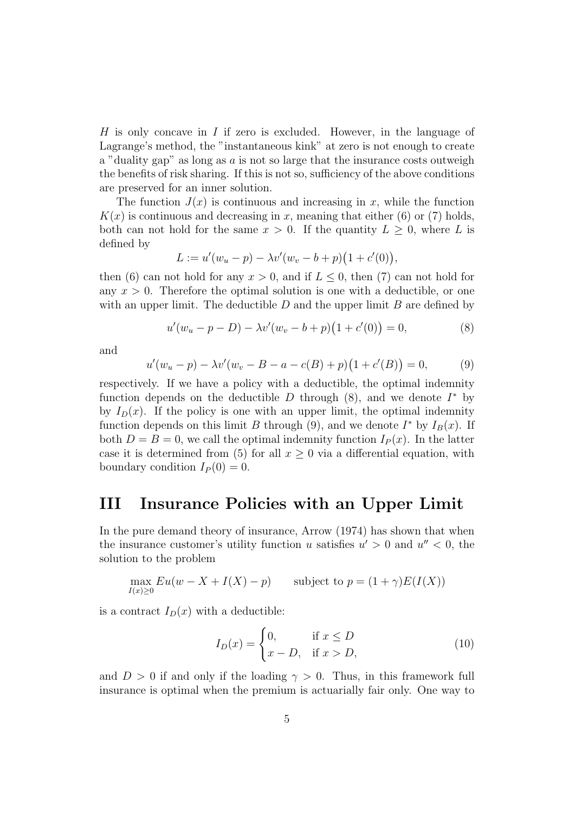H is only concave in I if zero is excluded. However, in the language of Lagrange's method, the "instantaneous kink" at zero is not enough to create a "duality gap" as long as  $a$  is not so large that the insurance costs outweigh the benefits of risk sharing. If this is not so, sufficiency of the above conditions are preserved for an inner solution.

The function  $J(x)$  is continuous and increasing in x, while the function  $K(x)$  is continuous and decreasing in x, meaning that either (6) or (7) holds, both can not hold for the same  $x > 0$ . If the quantity  $L \geq 0$ , where L is defined by

$$
L := u'(w_u - p) - \lambda v'(w_v - b + p)(1 + c'(0)),
$$

then (6) can not hold for any  $x > 0$ , and if  $L \leq 0$ , then (7) can not hold for any  $x > 0$ . Therefore the optimal solution is one with a deductible, or one with an upper limit. The deductible  $D$  and the upper limit  $B$  are defined by

$$
u'(w_u - p - D) - \lambda v'(w_v - b + p)(1 + c'(0)) = 0,
$$
\n(8)

and

$$
u'(w_u - p) - \lambda v'(w_v - B - a - c(B) + p)(1 + c'(B)) = 0,
$$
\n(9)

respectively. If we have a policy with a deductible, the optimal indemnity function depends on the deductible  $D$  through  $(8)$ , and we denote  $I^*$  by by  $I_D(x)$ . If the policy is one with an upper limit, the optimal indemnity function depends on this limit B through (9), and we denote  $I^*$  by  $I_B(x)$ . If both  $D = B = 0$ , we call the optimal indemnity function  $I<sub>P</sub>(x)$ . In the latter case it is determined from (5) for all  $x \geq 0$  via a differential equation, with boundary condition  $I_P(0) = 0$ .

#### III Insurance Policies with an Upper Limit

In the pure demand theory of insurance, Arrow (1974) has shown that when the insurance customer's utility function u satisfies  $u' > 0$  and  $u'' < 0$ , the solution to the problem

$$
\max_{I(x)\geq 0} Eu(w - X + I(X) - p) \qquad \text{subject to } p = (1 + \gamma)E(I(X))
$$

is a contract  $I_D(x)$  with a deductible:

$$
I_D(x) = \begin{cases} 0, & \text{if } x \le D \\ x - D, & \text{if } x > D, \end{cases} \tag{10}
$$

and  $D > 0$  if and only if the loading  $\gamma > 0$ . Thus, in this framework full insurance is optimal when the premium is actuarially fair only. One way to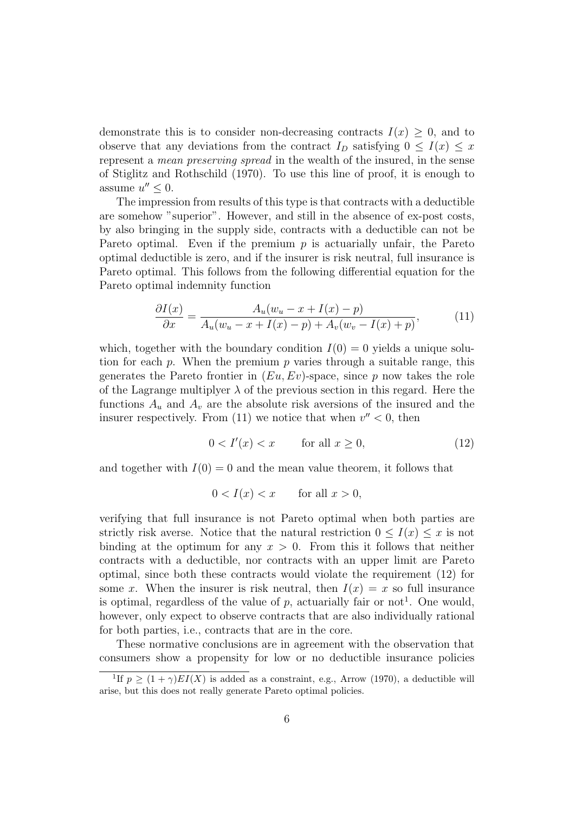demonstrate this is to consider non-decreasing contracts  $I(x) \geq 0$ , and to observe that any deviations from the contract  $I_D$  satisfying  $0 \leq I(x) \leq x$ represent a mean preserving spread in the wealth of the insured, in the sense of Stiglitz and Rothschild (1970). To use this line of proof, it is enough to assume  $u'' \leq 0$ .

The impression from results of this type is that contracts with a deductible are somehow "superior". However, and still in the absence of ex-post costs, by also bringing in the supply side, contracts with a deductible can not be Pareto optimal. Even if the premium  $p$  is actuarially unfair, the Pareto optimal deductible is zero, and if the insurer is risk neutral, full insurance is Pareto optimal. This follows from the following differential equation for the Pareto optimal indemnity function

$$
\frac{\partial I(x)}{\partial x} = \frac{A_u(w_u - x + I(x) - p)}{A_u(w_u - x + I(x) - p) + A_v(w_v - I(x) + p)},\tag{11}
$$

which, together with the boundary condition  $I(0) = 0$  yields a unique solution for each p. When the premium p varies through a suitable range, this generates the Pareto frontier in  $(Eu, Ev)$ -space, since p now takes the role of the Lagrange multiplyer  $\lambda$  of the previous section in this regard. Here the functions  $A_u$  and  $A_v$  are the absolute risk aversions of the insured and the insurer respectively. From (11) we notice that when  $v'' < 0$ , then

$$
0 < I'(x) < x \qquad \text{for all } x \ge 0,\tag{12}
$$

and together with  $I(0) = 0$  and the mean value theorem, it follows that

$$
0 < I(x) < x \qquad \text{for all } x > 0,
$$

verifying that full insurance is not Pareto optimal when both parties are strictly risk averse. Notice that the natural restriction  $0 \leq I(x) \leq x$  is not binding at the optimum for any  $x > 0$ . From this it follows that neither contracts with a deductible, nor contracts with an upper limit are Pareto optimal, since both these contracts would violate the requirement (12) for some x. When the insurer is risk neutral, then  $I(x) = x$  so full insurance is optimal, regardless of the value of  $p$ , actuarially fair or not<sup>1</sup>. One would, however, only expect to observe contracts that are also individually rational for both parties, i.e., contracts that are in the core.

These normative conclusions are in agreement with the observation that consumers show a propensity for low or no deductible insurance policies

<sup>&</sup>lt;sup>1</sup>If  $p \geq (1 + \gamma)EI(X)$  is added as a constraint, e.g., Arrow (1970), a deductible will arise, but this does not really generate Pareto optimal policies.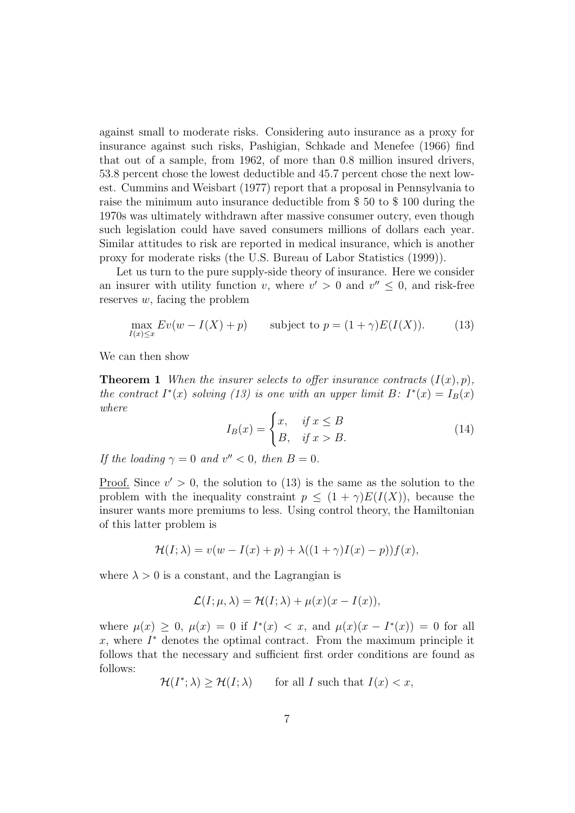against small to moderate risks. Considering auto insurance as a proxy for insurance against such risks, Pashigian, Schkade and Menefee (1966) find that out of a sample, from 1962, of more than 0.8 million insured drivers, 53.8 percent chose the lowest deductible and 45.7 percent chose the next lowest. Cummins and Weisbart (1977) report that a proposal in Pennsylvania to raise the minimum auto insurance deductible from \$ 50 to \$ 100 during the 1970s was ultimately withdrawn after massive consumer outcry, even though such legislation could have saved consumers millions of dollars each year. Similar attitudes to risk are reported in medical insurance, which is another proxy for moderate risks (the U.S. Bureau of Labor Statistics (1999)).

Let us turn to the pure supply-side theory of insurance. Here we consider an insurer with utility function v, where  $v' > 0$  and  $v'' \leq 0$ , and risk-free reserves  $w$ , facing the problem

$$
\max_{I(x)\leq x} Ev(w - I(X) + p) \qquad \text{subject to } p = (1 + \gamma)E(I(X)).\tag{13}
$$

We can then show

**Theorem 1** When the insurer selects to offer insurance contracts  $(I(x), p)$ , the contract  $I^*(x)$  solving (13) is one with an upper limit B:  $I^*(x) = I_B(x)$ where

$$
I_B(x) = \begin{cases} x, & \text{if } x \le B \\ B, & \text{if } x > B. \end{cases}
$$
 (14)

If the loading  $\gamma = 0$  and  $v'' < 0$ , then  $B = 0$ .

<u>Proof.</u> Since  $v' > 0$ , the solution to (13) is the same as the solution to the problem with the inequality constraint  $p \leq (1 + \gamma)E(I(X))$ , because the insurer wants more premiums to less. Using control theory, the Hamiltonian of this latter problem is

$$
\mathcal{H}(I; \lambda) = v(w - I(x) + p) + \lambda((1 + \gamma)I(x) - p))f(x),
$$

where  $\lambda > 0$  is a constant, and the Lagrangian is

$$
\mathcal{L}(I; \mu, \lambda) = \mathcal{H}(I; \lambda) + \mu(x)(x - I(x)),
$$

where  $\mu(x) \geq 0$ ,  $\mu(x) = 0$  if  $I^*(x) < x$ , and  $\mu(x)(x - I^*(x)) = 0$  for all  $x$ , where  $I^*$  denotes the optimal contract. From the maximum principle it follows that the necessary and sufficient first order conditions are found as follows:

$$
\mathcal{H}(I^*; \lambda) \ge \mathcal{H}(I; \lambda) \qquad \text{for all } I \text{ such that } I(x) < x,
$$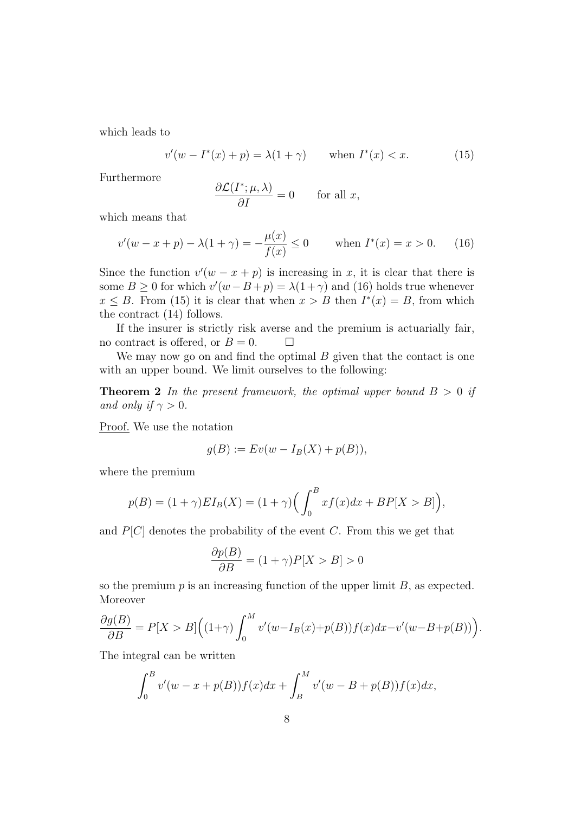which leads to

$$
v'(w - I^*(x) + p) = \lambda(1 + \gamma) \quad \text{when } I^*(x) < x. \tag{15}
$$

Furthermore

$$
\frac{\partial \mathcal{L}(I^*; \mu, \lambda)}{\partial I} = 0 \quad \text{for all } x,
$$

which means that

$$
v'(w - x + p) - \lambda(1 + \gamma) = -\frac{\mu(x)}{f(x)} \le 0 \quad \text{when } I^*(x) = x > 0. \tag{16}
$$

Since the function  $v'(w - x + p)$  is increasing in x, it is clear that there is some  $B \ge 0$  for which  $v'(w - B + p) = \lambda(1 + \gamma)$  and (16) holds true whenever  $x \leq B$ . From (15) it is clear that when  $x > B$  then  $I^*(x) = B$ , from which the contract (14) follows.

If the insurer is strictly risk averse and the premium is actuarially fair, no contract is offered, or  $B = 0$ .  $\Box$ 

We may now go on and find the optimal  $B$  given that the contact is one with an upper bound. We limit ourselves to the following:

**Theorem 2** In the present framework, the optimal upper bound  $B > 0$  if and only if  $\gamma > 0$ .

Proof. We use the notation

$$
g(B) := Ev(w - I_B(X) + p(B)),
$$

where the premium

$$
p(B) = (1+\gamma)EI_B(X) = (1+\gamma)\left(\int_0^B x f(x)dx + BP[X > B]\right),
$$

and  $P[C]$  denotes the probability of the event C. From this we get that

$$
\frac{\partial p(B)}{\partial B} = (1 + \gamma)P[X > B] > 0
$$

so the premium  $p$  is an increasing function of the upper limit  $B$ , as expected. Moreover

$$
\frac{\partial g(B)}{\partial B} = P[X > B] \Big( (1+\gamma) \int_0^M v'(w - I_B(x) + p(B)) f(x) dx - v'(w - B + p(B)) \Big).
$$

The integral can be written

$$
\int_0^B v'(w - x + p(B))f(x)dx + \int_B^M v'(w - B + p(B))f(x)dx,
$$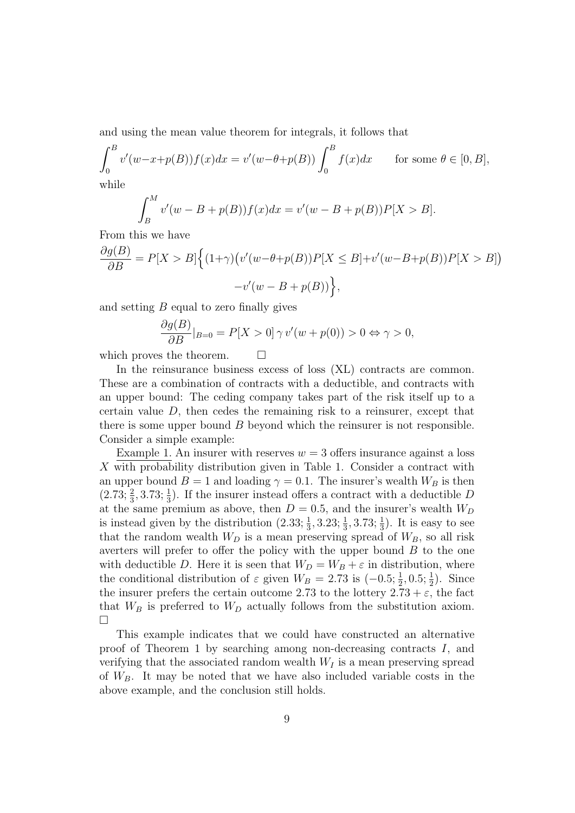and using the mean value theorem for integrals, it follows that

$$
\int_0^B v'(w-x+p(B))f(x)dx = v'(w-\theta+p(B))\int_0^B f(x)dx \quad \text{for some } \theta \in [0, B],
$$
  
while

while

$$
\int_{B}^{M} v'(w - B + p(B)) f(x) dx = v'(w - B + p(B)) P[X > B].
$$

From this we have

$$
\frac{\partial g(B)}{\partial B} = P[X > B] \Big\{ (1+\gamma) \big( v'(w-\theta+p(B))P[X \le B] + v'(w-B+p(B))P[X > B] \big) \\ -v'(w-B+p(B)) \Big\},
$$

and setting  $B$  equal to zero finally gives

$$
\frac{\partial g(B)}{\partial B}|_{B=0} = P[X > 0] \,\gamma \, v'(w + p(0)) > 0 \Leftrightarrow \gamma > 0,
$$

which proves the theorem.  $\Box$ 

In the reinsurance business excess of loss  $(XL)$  contracts are common. These are a combination of contracts with a deductible, and contracts with an upper bound: The ceding company takes part of the risk itself up to a certain value  $D$ , then cedes the remaining risk to a reinsurer, except that there is some upper bound  $B$  beyond which the reinsurer is not responsible. Consider a simple example:

Example 1. An insurer with reserves  $w = 3$  offers insurance against a loss X with probability distribution given in Table 1. Consider a contract with an upper bound  $B = 1$  and loading  $\gamma = 0.1$ . The insurer's wealth  $W_B$  is then  $(2.73; \frac{2}{3}, 3.73; \frac{1}{3})$ . If the insurer instead offers a contract with a deductible D at the same premium as above, then  $D = 0.5$ , and the insurer's wealth  $W_D$ is instead given by the distribution  $(2.33; \frac{1}{3}, 3.23; \frac{1}{3}, 3.73; \frac{1}{3})$ . It is easy to see that the random wealth  $W_D$  is a mean preserving spread of  $W_B$ , so all risk averters will prefer to offer the policy with the upper bound  $B$  to the one with deductible D. Here it is seen that  $W_D = W_B + \varepsilon$  in distribution, where the conditional distribution of  $\varepsilon$  given  $W_B = 2.73$  is  $(-0.5; \frac{1}{2}, 0.5; \frac{1}{2})$ . Since the insurer prefers the certain outcome 2.73 to the lottery  $2.73 + \varepsilon$ , the fact that  $W_B$  is preferred to  $W_D$  actually follows from the substitution axiom.  $\Box$ 

This example indicates that we could have constructed an alternative proof of Theorem 1 by searching among non-decreasing contracts I, and verifying that the associated random wealth  $W_I$  is a mean preserving spread of  $W_B$ . It may be noted that we have also included variable costs in the above example, and the conclusion still holds.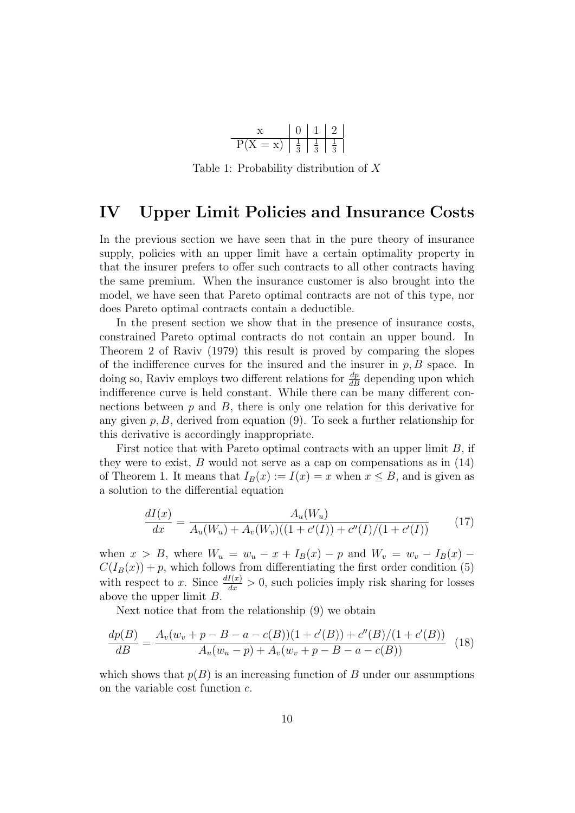

Table 1: Probability distribution of X

#### IV Upper Limit Policies and Insurance Costs

In the previous section we have seen that in the pure theory of insurance supply, policies with an upper limit have a certain optimality property in that the insurer prefers to offer such contracts to all other contracts having the same premium. When the insurance customer is also brought into the model, we have seen that Pareto optimal contracts are not of this type, nor does Pareto optimal contracts contain a deductible.

In the present section we show that in the presence of insurance costs, constrained Pareto optimal contracts do not contain an upper bound. In Theorem 2 of Raviv (1979) this result is proved by comparing the slopes of the indifference curves for the insured and the insurer in  $p, B$  space. In doing so, Raviv employs two different relations for  $\frac{dp}{dB}$  depending upon which indifference curve is held constant. While there can be many different connections between  $p$  and  $B$ , there is only one relation for this derivative for any given  $p, B$ , derived from equation (9). To seek a further relationship for this derivative is accordingly inappropriate.

First notice that with Pareto optimal contracts with an upper limit  $B$ , if they were to exist,  $B$  would not serve as a cap on compensations as in  $(14)$ of Theorem 1. It means that  $I_B(x) := I(x) = x$  when  $x \leq B$ , and is given as a solution to the differential equation

$$
\frac{dI(x)}{dx} = \frac{A_u(W_u)}{A_u(W_u) + A_v(W_v)((1 + c'(I)) + c''(I)/(1 + c'(I))}
$$
(17)

when  $x > B$ , where  $W_u = w_u - x + I_B(x) - p$  and  $W_v = w_v - I_B(x) - p$  $C(I_B(x)) + p$ , which follows from differentiating the first order condition (5) with respect to x. Since  $\frac{dI(x)}{dx} > 0$ , such policies imply risk sharing for losses above the upper limit B.

Next notice that from the relationship (9) we obtain

$$
\frac{dp(B)}{dB} = \frac{A_v(w_v + p - B - a - c(B))(1 + c'(B)) + c''(B)/(1 + c'(B))}{A_u(w_u - p) + A_v(w_v + p - B - a - c(B))} \tag{18}
$$

which shows that  $p(B)$  is an increasing function of B under our assumptions on the variable cost function c.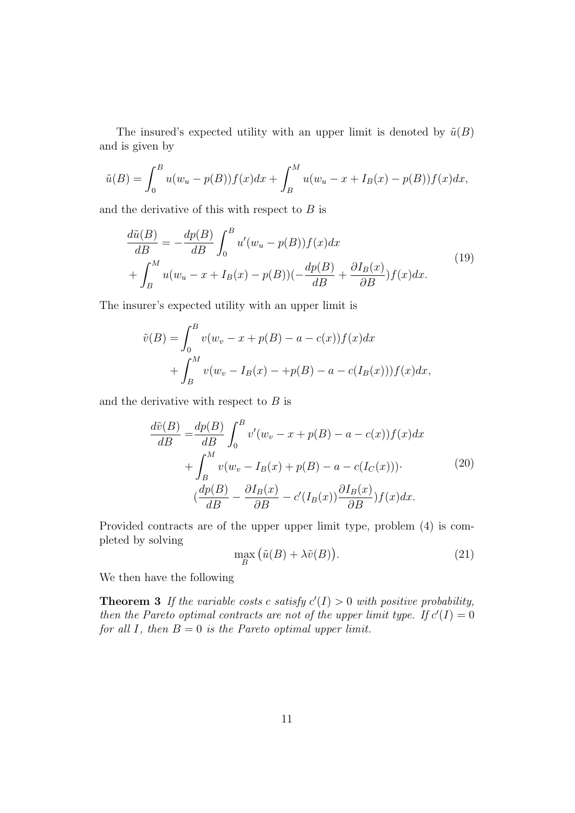The insured's expected utility with an upper limit is denoted by  $\tilde{u}(B)$ and is given by

$$
\tilde{u}(B) = \int_0^B u(w_u - p(B))f(x)dx + \int_B^M u(w_u - x + I_B(x) - p(B))f(x)dx,
$$

and the derivative of this with respect to  $B$  is

$$
\frac{d\tilde{u}(B)}{dB} = -\frac{dp(B)}{dB} \int_0^B u'(w_u - p(B))f(x)dx
$$
  
+ 
$$
\int_B^M u(w_u - x + I_B(x) - p(B))\left(-\frac{dp(B)}{dB} + \frac{\partial I_B(x)}{\partial B}\right)f(x)dx.
$$
 (19)

The insurer's expected utility with an upper limit is

$$
\tilde{v}(B) = \int_0^B v(w_v - x + p(B) - a - c(x)) f(x) dx \n+ \int_B^M v(w_v - I_B(x) - p(B) - a - c(I_B(x))) f(x) dx,
$$

and the derivative with respect to  $B$  is

$$
\frac{d\tilde{v}(B)}{dB} = \frac{dp(B)}{dB} \int_0^B v'(w_v - x + p(B) - a - c(x))f(x)dx
$$

$$
+ \int_B^M v(w_v - I_B(x) + p(B) - a - c(I_C(x))).
$$
\n(20)\n
$$
(\frac{dp(B)}{dB} - \frac{\partial I_B(x)}{\partial B} - c'(I_B(x))\frac{\partial I_B(x)}{\partial B})f(x)dx.
$$

Provided contracts are of the upper upper limit type, problem (4) is completed by solving

$$
\max_{B} (\tilde{u}(B) + \lambda \tilde{v}(B)).
$$
\n(21)

We then have the following

**Theorem 3** If the variable costs c satisfy  $c'(I) > 0$  with positive probability, then the Pareto optimal contracts are not of the upper limit type. If  $c'(I) = 0$ for all I, then  $B = 0$  is the Pareto optimal upper limit.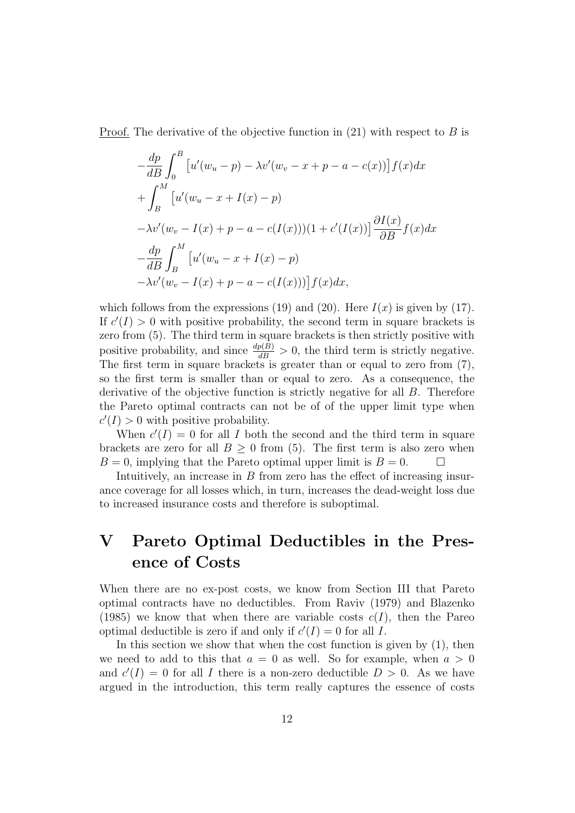Proof. The derivative of the objective function in  $(21)$  with respect to B is

$$
-\frac{dp}{dB} \int_0^B \left[ u'(w_u - p) - \lambda v'(w_v - x + p - a - c(x)) \right] f(x) dx
$$
  
+ 
$$
\int_B^M \left[ u'(w_u - x + I(x) - p) -\lambda v'(w_v - I(x) + p - a - c(I(x)) \right] (1 + c'(I(x))) \frac{\partial I(x)}{\partial B} f(x) dx
$$
  
- 
$$
\frac{dp}{dB} \int_B^M \left[ u'(w_u - x + I(x) - p) -\lambda v'(w_v - I(x) + p - a - c(I(x))) \right] f(x) dx,
$$

which follows from the expressions (19) and (20). Here  $I(x)$  is given by (17). If  $c'(I) > 0$  with positive probability, the second term in square brackets is zero from (5). The third term in square brackets is then strictly positive with positive probability, and since  $\frac{dp(B)}{dB} > 0$ , the third term is strictly negative. The first term in square brackets is greater than or equal to zero from (7), so the first term is smaller than or equal to zero. As a consequence, the derivative of the objective function is strictly negative for all B. Therefore the Pareto optimal contracts can not be of of the upper limit type when  $c'(I) > 0$  with positive probability.

When  $c'(I) = 0$  for all I both the second and the third term in square brackets are zero for all  $B \geq 0$  from (5). The first term is also zero when  $B = 0$ , implying that the Pareto optimal upper limit is  $B = 0$ .

Intuitively, an increase in B from zero has the effect of increasing insurance coverage for all losses which, in turn, increases the dead-weight loss due to increased insurance costs and therefore is suboptimal.

## V Pareto Optimal Deductibles in the Presence of Costs

When there are no ex-post costs, we know from Section III that Pareto optimal contracts have no deductibles. From Raviv (1979) and Blazenko (1985) we know that when there are variable costs  $c(I)$ , then the Pareo optimal deductible is zero if and only if  $c'(I) = 0$  for all I.

In this section we show that when the cost function is given by  $(1)$ , then we need to add to this that  $a = 0$  as well. So for example, when  $a > 0$ and  $c'(I) = 0$  for all I there is a non-zero deductible  $D > 0$ . As we have argued in the introduction, this term really captures the essence of costs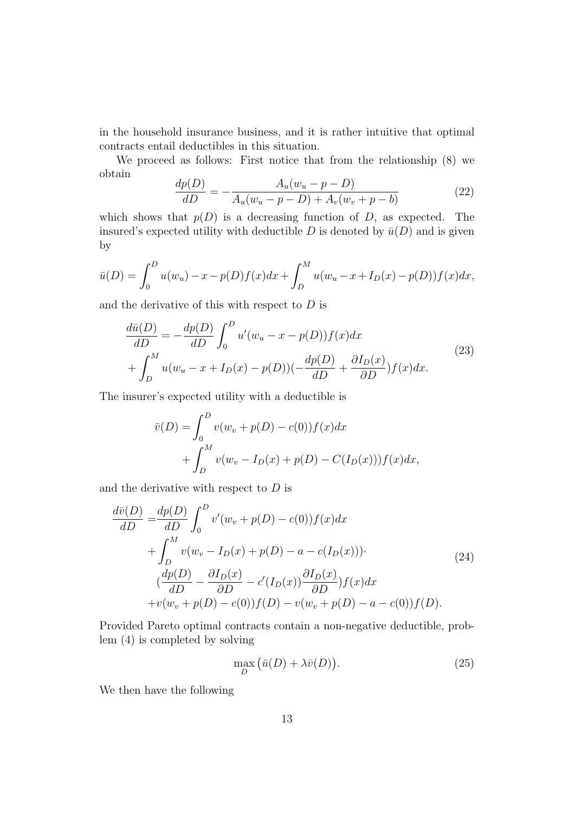in the household insurance business, and it is rather intuitive that optimal contracts entail deductibles in this situation.

We proceed as follows: First notice that from the relationship (8) we obtain

$$
\frac{dp(D)}{dD} = -\frac{A_u(w_u - p - D)}{A_u(w_u - p - D) + A_v(w_v + p - b)}\tag{22}
$$

which shows that  $p(D)$  is a decreasing function of D, as expected. The insured's expected utility with deductible D is denoted by  $\bar{u}(D)$  and is given by

$$
\bar{u}(D) = \int_0^D u(w_u) - x - p(D)f(x)dx + \int_D^M u(w_u - x + I_D(x) - p(D))f(x)dx,
$$

and the derivative of this with respect to  $D$  is

$$
\frac{d\bar{u}(D)}{dD} = -\frac{dp(D)}{dD} \int_0^D u'(w_u - x - p(D))f(x)dx
$$
  
+ 
$$
\int_D^M u(w_u - x + I_D(x) - p(D))(-\frac{dp(D)}{dD} + \frac{\partial I_D(x)}{\partial D})f(x)dx.
$$
 (23)

The insurer's expected utility with a deductible is

$$
\bar{v}(D) = \int_0^D v(w_v + p(D) - c(0))f(x)dx \n+ \int_D^M v(w_v - I_D(x) + p(D) - C(I_D(x)))f(x)dx,
$$

and the derivative with respect to  $D$  is

$$
\frac{d\bar{v}(D)}{dD} = \frac{dp(D)}{dD} \int_0^D v'(w_v + p(D) - c(0)) f(x) dx \n+ \int_D^M v(w_v - I_D(x) + p(D) - a - c(I_D(x))).
$$
\n(24)\n
$$
(\frac{dp(D)}{dD} - \frac{\partial I_D(x)}{\partial D} - c'(I_D(x)) \frac{\partial I_D(x)}{\partial D}) f(x) dx \n+ v(w_v + p(D) - c(0)) f(D) - v(w_v + p(D) - a - c(0)) f(D).
$$

Provided Pareto optimal contracts contain a non-negative deductible, problem (4) is completed by solving

$$
\max_{D} (\bar{u}(D) + \lambda \bar{v}(D)). \tag{25}
$$

We then have the following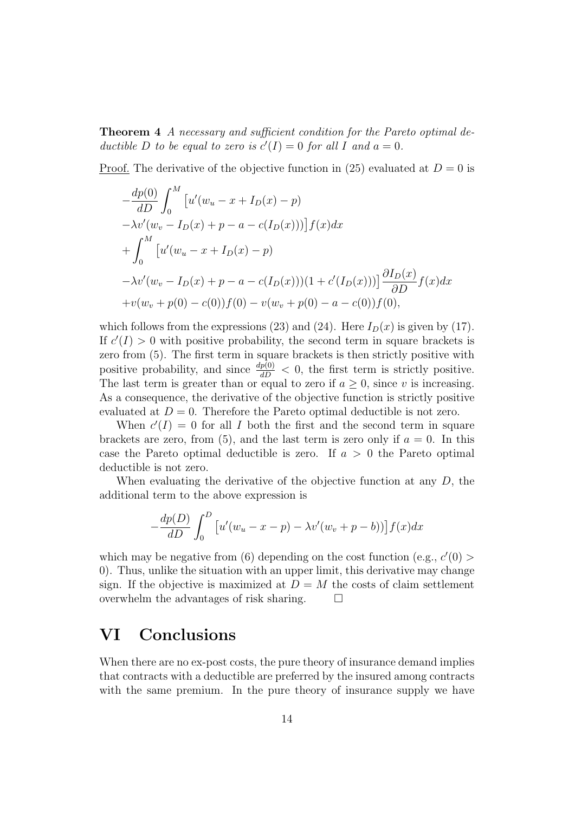Theorem 4 A necessary and sufficient condition for the Pareto optimal deductible D to be equal to zero is  $c'(I) = 0$  for all I and  $a = 0$ .

Proof. The derivative of the objective function in (25) evaluated at  $D = 0$  is

$$
-\frac{dp(0)}{dD} \int_0^M \left[ u'(w_u - x + I_D(x) - p) -\lambda v'(w_v - I_D(x) + p - a - c(I_D(x))) \right] f(x) dx
$$
  
+ 
$$
\int_0^M \left[ u'(w_u - x + I_D(x) - p) -\lambda v'(w_v - I_D(x) + p - a - c(I_D(x)) \right] (1 + c'(I_D(x))) \right] \frac{\partial I_D(x)}{\partial D} f(x) dx
$$
  
+ 
$$
v(w_v + p(0) - c(0)) f(0) - v(w_v + p(0) - a - c(0)) f(0),
$$

which follows from the expressions (23) and (24). Here  $I_D(x)$  is given by (17). If  $c'(I) > 0$  with positive probability, the second term in square brackets is zero from (5). The first term in square brackets is then strictly positive with positive probability, and since  $\frac{dp(0)}{dD} < 0$ , the first term is strictly positive. The last term is greater than or equal to zero if  $a \geq 0$ , since v is increasing. As a consequence, the derivative of the objective function is strictly positive evaluated at  $D = 0$ . Therefore the Pareto optimal deductible is not zero.

When  $c'(I) = 0$  for all I both the first and the second term in square brackets are zero, from (5), and the last term is zero only if  $a = 0$ . In this case the Pareto optimal deductible is zero. If  $a > 0$  the Pareto optimal deductible is not zero.

When evaluating the derivative of the objective function at any  $D$ , the additional term to the above expression is

$$
-\frac{dp(D)}{dD}\int_0^D \left[u'(w_u - x - p) - \lambda v'(w_v + p - b))\right]f(x)dx
$$

which may be negative from (6) depending on the cost function (e.g.,  $c'(0)$ ) 0). Thus, unlike the situation with an upper limit, this derivative may change sign. If the objective is maximized at  $D = M$  the costs of claim settlement overwhelm the advantages of risk sharing.

### VI Conclusions

When there are no ex-post costs, the pure theory of insurance demand implies that contracts with a deductible are preferred by the insured among contracts with the same premium. In the pure theory of insurance supply we have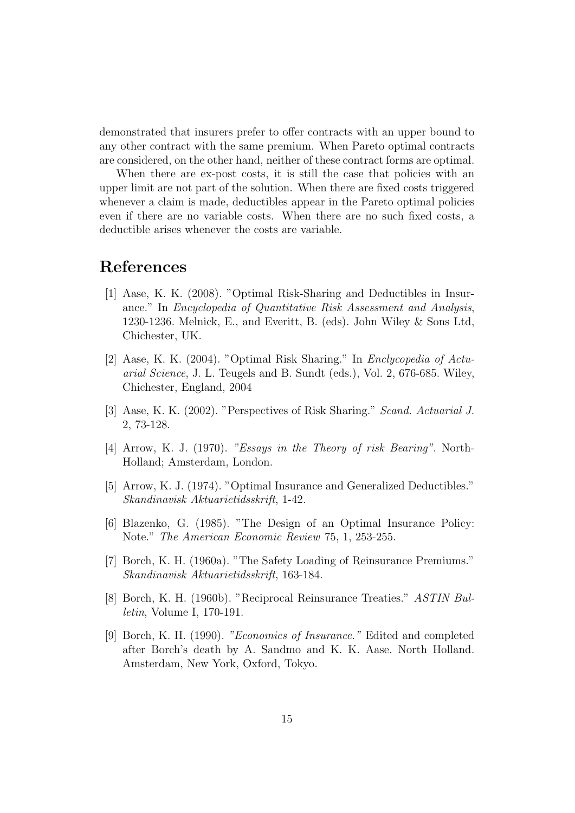demonstrated that insurers prefer to offer contracts with an upper bound to any other contract with the same premium. When Pareto optimal contracts are considered, on the other hand, neither of these contract forms are optimal.

When there are ex-post costs, it is still the case that policies with an upper limit are not part of the solution. When there are fixed costs triggered whenever a claim is made, deductibles appear in the Pareto optimal policies even if there are no variable costs. When there are no such fixed costs, a deductible arises whenever the costs are variable.

#### References

- [1] Aase, K. K. (2008). "Optimal Risk-Sharing and Deductibles in Insurance." In Encyclopedia of Quantitative Risk Assessment and Analysis, 1230-1236. Melnick, E., and Everitt, B. (eds). John Wiley & Sons Ltd, Chichester, UK.
- [2] Aase, K. K. (2004). "Optimal Risk Sharing." In Enclycopedia of Actuarial Science, J. L. Teugels and B. Sundt (eds.), Vol. 2, 676-685. Wiley, Chichester, England, 2004
- [3] Aase, K. K. (2002). "Perspectives of Risk Sharing." Scand. Actuarial J. 2, 73-128.
- [4] Arrow, K. J. (1970). "Essays in the Theory of risk Bearing". North-Holland; Amsterdam, London.
- [5] Arrow, K. J. (1974). "Optimal Insurance and Generalized Deductibles." Skandinavisk Aktuarietidsskrift, 1-42.
- [6] Blazenko, G. (1985). "The Design of an Optimal Insurance Policy: Note." The American Economic Review 75, 1, 253-255.
- [7] Borch, K. H. (1960a). "The Safety Loading of Reinsurance Premiums." Skandinavisk Aktuarietidsskrift, 163-184.
- [8] Borch, K. H. (1960b). "Reciprocal Reinsurance Treaties." ASTIN Bulletin, Volume I, 170-191.
- [9] Borch, K. H. (1990). "Economics of Insurance." Edited and completed after Borch's death by A. Sandmo and K. K. Aase. North Holland. Amsterdam, New York, Oxford, Tokyo.